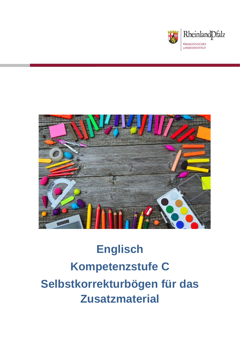



# **Englisch Kompetenzstufe C Selbstkorrekturbögen für das Zusatzmaterial**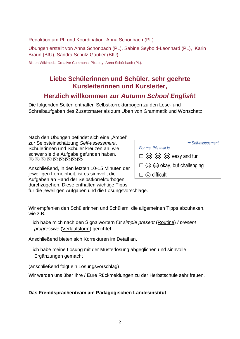Redaktion am PL und Koordination: Anna Schönbach (PL)

Übungen erstellt von Anna Schönbach (PL), Sabine Seybold-Leonhard (PL), Karin Braun (BfU), Sandra Schulz-Gautier (BfU)

Bilder: Wikimedia Creative Commons, Pixabay, Anna Schönbach (PL).

### **Liebe Schülerinnen und Schüler, sehr geehrte Kursleiterinnen und Kursleiter,**

### **Herzlich willkommen zur** *Autumn School English***!**

Die folgenden Seiten enthalten Selbstkorrekturbögen zu den Lese- und Schreibaufgaben des Zusatzmaterials zum Üben von Grammatik und Wortschatz.

Nach den Übungen befindet sich eine "Ampel" zur Selbsteinschätzung *Self-assessment*. Schülerinnen und Schüler kreuzen an, wie schwer sie die Aufgabe gefunden haben.  $\langle \nabla \rangle \langle \nabla \rangle \langle \nabla \rangle \langle \nabla \rangle \langle \nabla \rangle \langle \nabla \rangle \langle \nabla \rangle \langle \nabla \rangle$ 

Anschließend, in den letzten 10-15 Minuten der jeweiligen Lerneinheit, ist es sinnvoll, die Aufgaben an Hand der Selbstkorrekturbögen durchzugehen. Diese enthalten wichtige Tipps

| Self-assessment                                        |
|--------------------------------------------------------|
| For me, this task is                                   |
| $\square$ $\odot$ $\odot$ $\odot$ $\odot$ easy and fun |
| $\square$ $\odot$ $\odot$ okay, but challenging        |
| $\square \otimes$ difficult                            |

für die jeweiligen Aufgaben und die Lösungsvorschläge.

Wir empfehlen den Schülerinnen und Schülern, die allgemeinen Tipps abzuhaken, wie z.B.:

□ ich habe mich nach den Signalwörtern für *simple present* (Routine) */ present progressive* (Verlaufsform) gerichtet

Anschließend bieten sich Korrekturen im Detail an.

 $\Box$  ich habe meine Lösung mit der Musterlösung abgeglichen und sinnvolle Ergänzungen gemacht

(anschließend folgt ein Lösungsvorschlag)

Wir werden uns über Ihre / Eure Rückmeldungen zu der Herbstschule sehr freuen.

#### **Das Fremdsprachenteam am Pädagogischen Landesinstitut**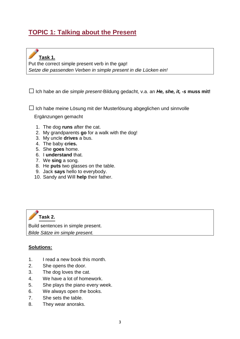## **TOPIC 1: Talking about the Present**



Put the correct simple present verb in the gap! *Setze die passenden Verben in simple present in die Lücken ein!*

□Ich habe an die *simple present*-Bildung gedacht, v.a. an *He, she, it, -s* **muss mit!**

 $\Box$  Ich habe meine Lösung mit der Musterlösung abgeglichen und sinnvolle

Ergänzungen gemacht

- 1. The dog **runs** after the cat.
- 2. My grandparents **go** for a walk with the dog!
- 3. My uncle **drives** a bus.
- 4. The baby **cries.**
- 5. She **goes** home.
- 6. I **understand** that.
- 7. We **sing** a song.
- 8. He **puts** two glasses on the table.
- 9. Jack **says** hello to everybody.
- 10. Sandy and Will **help** their father.



Build sentences in simple present. *Bilde Sätze im simple present.* 

#### **Solutions:**

- 1. I read a new book this month.
- 2. She opens the door.
- 3. The dog loves the cat.
- 4. We have a lot of homework.
- 5. She plays the piano every week.
- 6. We always open the books.
- 7. She sets the table.
- 8. They wear anoraks.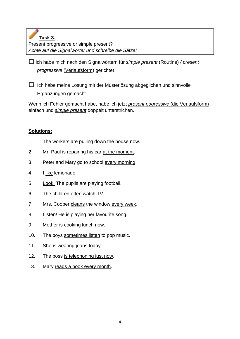**Task 3.**

Present progressive or simple present? *Achte auf die Signalwörter und schreibe die Sätze!*

□ich habe mich nach den Signalwörtern für *simple present* (Routine) */ present progressive* (Verlaufsform) gerichtet

 $\Box$  Ich habe meine Lösung mit der Musterlösung abgeglichen und sinnvolle Ergänzungen gemacht

Wenn ich Fehler gemacht habe, habe ich jetzt *present pogressive* (die Verlaufsform) einfach und *simple present* doppelt unterstrichen.

### **Solutions:**

- 1. The workers are pulling down the house now.
- 2. Mr. Paul is repairing his car at the moment.
- 3. Peter and Mary go to school every morning.
- 4. I like lemonade.
- 5. Look! The pupils are playing football.
- 6. The children often watch TV.
- 7. Mrs. Cooper cleans the window every week.
- 8. Listen! He is playing her favourite song.
- 9. Mother is cooking lunch now.
- 10. The boys sometimes listen to pop music.
- 11. She is wearing jeans today.
- 12. The boss is telephoning just now.
- 13. Mary reads a book every month.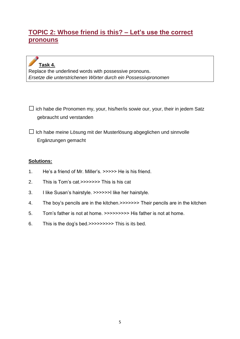### **TOPIC 2: Whose friend is this? – Let's use the correct pronouns**

# **Task 4.**

Replace the underlined words with possessive pronouns. *Ersetze die unterstrichenen Wörter durch ein Possessivpronomen*

 $\square$  ich habe die Pronomen my, your, his/her/is sowie our, your, their in jedem Satz gebraucht und verstanden

 $\Box$  Ich habe meine Lösung mit der Musterlösung abgeglichen und sinnvolle Ergänzungen gemacht

#### **Solutions:**

- 1. He's a friend of Mr. Miller's. >>>>> He is his friend.
- 2. This is Tom's cat.>>>>>>> This is his cat
- 3. I like Susan's hairstyle. >>>>>>I like her hairstyle.
- 4. The boy's pencils are in the kitchen.>>>>>>> Their pencils are in the kitchen
- 5. Tom's father is not at home. >>>>>>>>> His father is not at home.
- 6. This is the dog's bed.>>>>>>>>> This is its bed.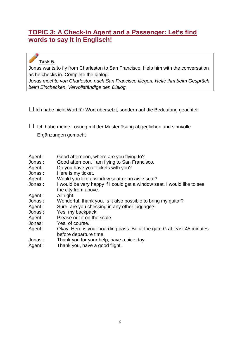### **TOPIC 3: A Check-in Agent and a Passenger: Let's find words to say it in Englisch!**

## **Task 5.**

Jonas wants to fly from Charleston to San Francisco. Help him with the conversation as he checks in. Complete the dialog.

*Jonas möchte von Charleston nach San Francisco fliegen. Helfe ihm beim Gespräch beim Einchecken. Vervollständige den Dialog.*

 $\Box$  Ich habe nicht Wort für Wort übersetzt, sondern auf die Bedeutung geachtet

 $\Box$  Ich habe meine Lösung mit der Musterlösung abgeglichen und sinnvolle Ergänzungen gemacht

- Agent : Good afternoon, where are you flying to?
- Jonas : Good afternoon. I am flying to San Francisco.
- Agent : Do you have your tickets with you?
- Jonas : Here is my ticket.
- Agent : Would you like a window seat or an aisle seat?
- Jonas : I would be very happy if I could get a window seat. I would like to see the city from above.
- Agent : All right.
- Jonas : Wonderful, thank you. Is it also possible to bring my guitar?
- Agent : Sure, are you checking in any other luggage?
- Jonas : Yes, my backpack.
- Agent : Please out it on the scale.
- Jonas: Yes, of course.
- Agent : Okay. Here is your boarding pass. Be at the gate G at least 45 minutes before departure time.
- Jonas : Thank you for your help, have a nice day.
- Agent : Thank you, have a good flight.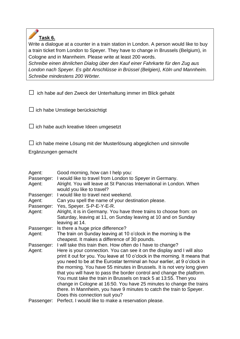

Write a dialogue at a counter in a train station in London. A person would like to buy a train ticket from London to Speyer. They have to change in Brussels (Belgium), in Cologne and in Mannheim. Please write at least 200 words.

*Schreibe einen ähnlichen Dialog über den Kauf einer Fahrkarte für den Zug aus London nach Speyer. Es gibt Anschlüsse in Brüssel (Belgien), Köln und Mannheim. Schreibe mindestens 200 Wörter.*

 $\square$  ich habe auf den Zweck der Unterhaltung immer im Blick gehabt

|  | $\Box$ ich habe Umstiege berücksichtigt |
|--|-----------------------------------------|

 $\Box$  ich habe auch kreative Ideen umgesetzt

 $\square$  ich habe meine Lösung mit der Musterlösung abgeglichen und sinnvolle

Ergänzungen gemacht

| Agent:<br>Passenger: | Good morning, how can I help you:<br>I would like to travel from London to Speyer in Germany.                                                                                                                                     |
|----------------------|-----------------------------------------------------------------------------------------------------------------------------------------------------------------------------------------------------------------------------------|
| Agent:               | Alright. You will leave at St Pancras International in London. When<br>would you like to travel?                                                                                                                                  |
| Passenger:           | I would like to travel next weekend.                                                                                                                                                                                              |
| Agent:<br>Passenger: | Can you spell the name of your destination please.<br>Yes, Speyer. S-P-E-Y-E-R.                                                                                                                                                   |
| Agent:               | Alright, it is in Germany. You have three trains to choose from: on<br>Saturday, leaving at 11, on Sunday leaving at 10 and on Sunday<br>leaving at 14.                                                                           |
| Passenger:           | Is there a huge price difference?                                                                                                                                                                                                 |
| Agent:               | The train on Sunday leaving at 10 o'clock in the morning is the<br>cheapest. It makes a difference of 30 pounds.                                                                                                                  |
| Passenger:           | I will take this train then. How often do I have to change?                                                                                                                                                                       |
| Agent:               | Here is your connection. You can see it on the display and I will also<br>print it out for you. You leave at 10 o'clock in the morning. It means that<br>you need to be at the Eurostar terminal an hour earlier, at 9 o'clock in |
|                      | the morning. You have 55 minutes in Brussels. It is not very long given<br>that you will have to pass the border control and change the platform.                                                                                 |
|                      | You must take the train in Brussels on track 5 at 13:55. Then you                                                                                                                                                                 |
|                      | change in Cologne at 16:50. You have 25 minutes to change the trains                                                                                                                                                              |
|                      | there. In Mannheim, you have 9 minutes to catch the train to Speyer.                                                                                                                                                              |
|                      | Does this connection suit you?                                                                                                                                                                                                    |
| Passenger:           | Perfect. I would like to make a reservation please.                                                                                                                                                                               |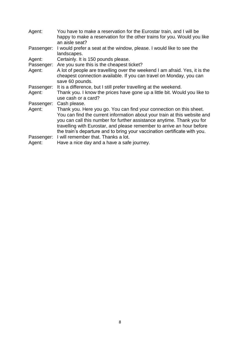| Agent:               | You have to make a reservation for the Eurostar train, and I will be<br>happy to make a reservation for the other trains for you. Would you like<br>an aisle seat?                                                                                                                                                                                                                |
|----------------------|-----------------------------------------------------------------------------------------------------------------------------------------------------------------------------------------------------------------------------------------------------------------------------------------------------------------------------------------------------------------------------------|
| Passenger:           | I would prefer a seat at the window, please. I would like to see the<br>landscapes.                                                                                                                                                                                                                                                                                               |
| Agent:               | Certainly. It is 150 pounds please.                                                                                                                                                                                                                                                                                                                                               |
| Passenger:           | Are you sure this is the cheapest ticket?                                                                                                                                                                                                                                                                                                                                         |
| Agent:               | A lot of people are travelling over the weekend I am afraid. Yes, it is the<br>cheapest connection available. If you can travel on Monday, you can<br>save 60 pounds.                                                                                                                                                                                                             |
| Passenger:           | It is a difference, but I still prefer travelling at the weekend.                                                                                                                                                                                                                                                                                                                 |
| Agent:               | Thank you. I know the prices have gone up a little bit. Would you like to<br>use cash or a card?                                                                                                                                                                                                                                                                                  |
| Passenger:           | Cash please.                                                                                                                                                                                                                                                                                                                                                                      |
| Agent:               | Thank you. Here you go. You can find your connection on this sheet.<br>You can find the current information about your train at this website and<br>you can call this number for further assistance anytime. Thank you for<br>travelling with Eurostar, and please remember to arrive an hour before<br>the train's departure and to bring your vaccination certificate with you. |
| Passenger:<br>Agent: | I will remember that. Thanks a lot.<br>Have a nice day and a have a safe journey.                                                                                                                                                                                                                                                                                                 |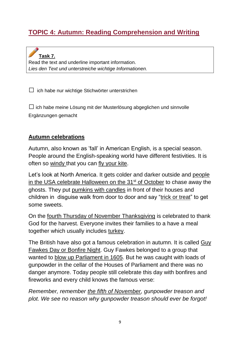# **TOPIC 4: Autumn: Reading Comprehension and Writing**

**Task 7.** Read the text and underline important information. *Lies den Text und unterstreiche wichtige Informationen.*

 $\Box$  ich habe nur wichtige Stichwörter unterstrichen

 $\square$  ich habe meine Lösung mit der Musterlösung abgeglichen und sinnvolle Ergänzungen gemacht

#### **Autumn celebrations**

Autumn, also known as 'fall' in American English, is a special season. People around the English-speaking world have different festivities. It is often so windy that you can fly your kite.

Let's look at North America. It gets colder and darker outside and people in the USA celebrate Halloween on the  $31<sup>st</sup>$  of October to chase away the ghosts. They put pumkins with candles in front of their houses and children in disguise walk from door to door and say "trick or treat" to get some sweets.

On the fourth Thursday of November Thanksgiving is celebrated to thank God for the harvest. Everyone invites their families to a have a meal together which usually includes turkey.

The British have also got a famous celebration in autumn. It is called Guy Fawkes Day or Bonfire Night. Guy Fawkes belonged to a group that wanted to blow up Parliament in 1605. But he was caught with loads of gunpowder in the cellar of the Houses of Parliament and there was no danger anymore. Today people still celebrate this day with bonfires and fireworks and every child knows the famous verse:

*Remember, remember the fifth of November, gunpowder treason and plot. We see no reason why gunpowder treason should ever be forgot!*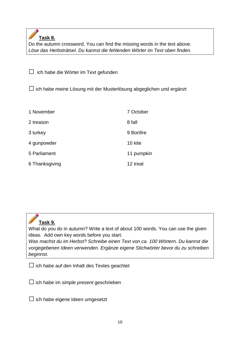**Task 8.**

Do the autumn crossword. You can find the missing words in the text above. *Löse das Herbsträtsel. Du kannst die fehlenden Wörter im Text oben finden.* 

 $\Box$  ich habe die Wörter im Text gefunden

 $\square$  ich habe meine Lösung mit der Musterlösung abgeglichen und ergänzt

| 1 November     | 7 October  |
|----------------|------------|
| 2 treason      | 8 fall     |
| 3 turkey       | 9 Bonfire  |
| 4 gunpowder    | 10 kite    |
| 5 Parliament   | 11 pumpkin |
| 6 Thanksgiving | 12 treat   |



What do you do in autumn? Write a text of about 100 words. You can use the given ideas. Add own key words before you start.

*Was machst du im Herbst? Schreibe einen Text von ca. 100 Wörtern. Du kannst die vorgegebenen Ideen verwenden. Ergänze eigene Stichwörter bevor du zu schreiben beginnst.*

 $\Box$  ich habe auf den Inhalt des Textes geachtet

□ich habe im *simple present* geschrieben

 $\square$  ich habe eigene Ideen umgesetzt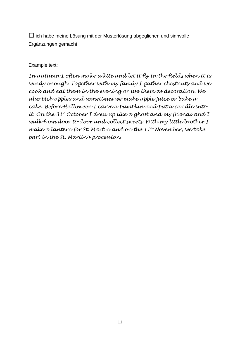$\square$  ich habe meine Lösung mit der Musterlösung abgeglichen und sinnvolle Ergänzungen gemacht

#### Example text:

*In autumn I often make a kite and let it fly in the fields when it is windy enough. Together with my family I gather chestnuts and we cook and eat them in the evening or use them as decoration. We also pick apples and sometimes we make apple juice or bake a cake. Before Halloween I carve a pumpkin and put a candle into it. On the 31st October I dress up like a ghost and my friends and I walk from door to door and collect sweets. With my little brother I make a lantern for St. Martin and on the 11th November, we take part in the St. Martin's procession.*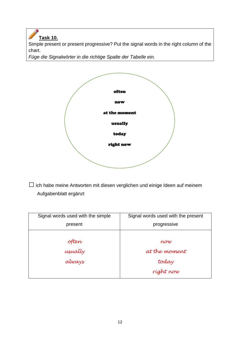**Task 10.** Simple present or present progressive? Put the signal words in the right column of the chart.

*Füge die Signalwörter in die richtige Spalte der Tabelle ein.*



 $\square$  ich habe meine Antworten mit diesen verglichen und einige Ideen auf meinem Aufgabenblatt ergänzt

| Signal words used with the simple | Signal words used with the present |
|-----------------------------------|------------------------------------|
| present                           | progressive                        |
|                                   |                                    |
| often                             | now                                |
| usually                           | at the moment                      |
| always                            | today                              |
|                                   | ríght now                          |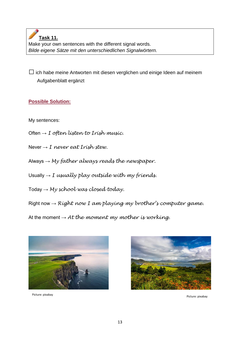**Task 11.** Make your own sentences with the different signal words. *Bilde eigene Sätze mit den unterschiedlichen Signalwörtern.*

 $\square$  ich habe meine Antworten mit diesen verglichen und einige Ideen auf meinem Aufgabenblatt ergänzt

### **Possible Solution:**

My sentences:

- Often → *I often listen to Irish music.*
- Never → *I never eat Irish stew.*
- Always → *My father always reads the newspaper.*
- Usually → *I usually play outside with my friends.*
- Today → *My school was closed today.*

Right now → *Right now I am playing my brother's computer game.*

At the moment  $\rightarrow$  *At the moment my mother is working.* 





Picture: pixabay Picture: pixabay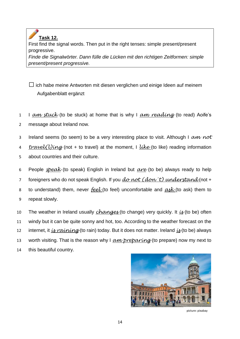**Task 12.** First find the signal words. Then put in the right tenses: simple present/present progressive. *Finde die Signalwörter. Dann fülle die Lücken mit den richtigen Zeitformen: simple present/present progressive.*

 $\square$  ich habe meine Antworten mit diesen verglichen und einige Ideen auf meinem Aufgabenblatt ergänzt

1 I *am stuck* (to be stuck) at home that is why I *am reading* (to read) Aoife's 2 message about Ireland now.

3 Ireland seems (to seem) to be a very interesting place to visit. Although I *am not* 

4 *travel(l)ing* (not + to travel) at the moment, I *like* (to like) reading information 5 about countries and their culture.

6 People *speak* (to speak) English in Ireland but *are* (to be) always ready to help

7 foreigners who do not speak English. If you *do not (don´t) understand* (not +

8 to understand) them, never *feel* (to feel) uncomfortable and *ask* (to ask) them to

9 repeat slowly.

10 The weather in Ireland usually *changes* (to change) very quickly. It *is* (to be) often 11 windy but it can be quite sonny and hot, too. According to the weather forecast on the 12 internet, it *is raining* (to rain) today. But it does not matter. Ireland *is* (to be) always 13 worth visiting. That is the reason why I *am preparing* (to prepare) now my next to 14 this beautiful country.



picture: pixabay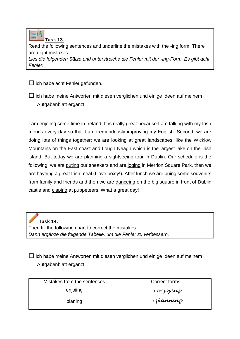

Read the following sentences and underline the mistakes with the -ing form. There are eight mistakes.

*Lies die folgenden Sätze und unterstreiche die Fehler mit der -ing-Form. Es gibt acht Fehler.*

 $\Box$  ich habe acht Fehler gefunden.

 $\square$  ich habe meine Antworten mit diesen verglichen und einige Ideen auf meinem Aufgabenblatt ergänzt

I am enjoling some time in Ireland. It is really great because I am talking with my Irish friends every day so that I am tremendously improving my English. Second, we are doing lots of things together: we are looking at great landscapes, like the Wicklow Mountains on the East coast and Lough Neagh which is the largest lake on the Irish island. But today we are planning a sightseeing tour in Dublin. Our schedule is the following: we are puting our sneakers and are joging in Merrion Square Park, then we are haveing a great Irish meal (I love boxty!). After lunch we are buing some souvenirs from family and friends and then we are danceing on the big square in front of Dublin castle and claping at puppeteers. What a great day!

**Task 14.** Then fill the following chart to correct the mistakes. *Dann ergänze die folgende Tabelle, um die Fehler zu verbessern.*

 $\Box$  ich habe meine Antworten mit diesen verglichen und einige Ideen auf meinem Aufgabenblatt ergänzt

| Mistakes from the sentences | Correct forms                   |
|-----------------------------|---------------------------------|
| enjoiing                    | $\rightarrow$ enjoying          |
| planing                     | $\rightarrow$ plan <b>n</b> íng |